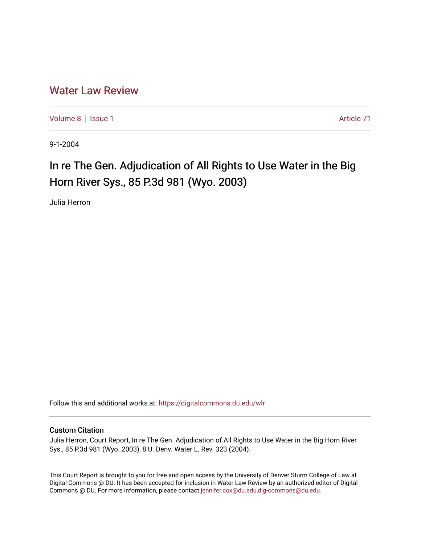## [Water Law Review](https://digitalcommons.du.edu/wlr)

[Volume 8](https://digitalcommons.du.edu/wlr/vol8) | [Issue 1](https://digitalcommons.du.edu/wlr/vol8/iss1) Article 71

9-1-2004

## In re The Gen. Adjudication of All Rights to Use Water in the Big Horn River Sys., 85 P.3d 981 (Wyo. 2003)

Julia Herron

Follow this and additional works at: [https://digitalcommons.du.edu/wlr](https://digitalcommons.du.edu/wlr?utm_source=digitalcommons.du.edu%2Fwlr%2Fvol8%2Fiss1%2F71&utm_medium=PDF&utm_campaign=PDFCoverPages) 

## Custom Citation

Julia Herron, Court Report, In re The Gen. Adjudication of All Rights to Use Water in the Big Horn River Sys., 85 P.3d 981 (Wyo. 2003), 8 U. Denv. Water L. Rev. 323 (2004).

This Court Report is brought to you for free and open access by the University of Denver Sturm College of Law at Digital Commons @ DU. It has been accepted for inclusion in Water Law Review by an authorized editor of Digital Commons @ DU. For more information, please contact [jennifer.cox@du.edu,dig-commons@du.edu.](mailto:jennifer.cox@du.edu,dig-commons@du.edu)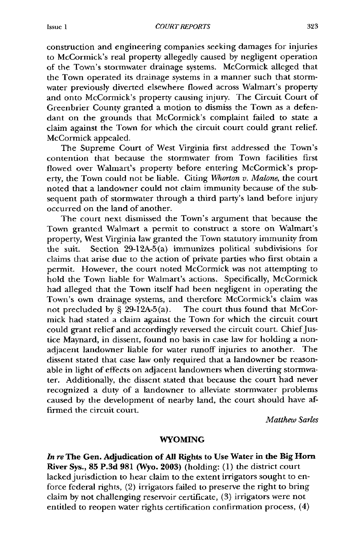construction and engineering companies seeking damages for injuries to McCormick's real property allegedly caused by negligent operation of the Town's stormwater drainage systems. McCormick alleged that the Town operated its drainage systems in a manner such that stormwater previously diverted elsewhere flowed across Walmart's property and onto McCormick's property causing injury. The Circuit Court of Greenbrier County granted a motion to dismiss the Town as a defendant on the grounds that McCormick's complaint failed to state a claim against the Town for which the circuit court could grant relief. McCormick appealed.

The Supreme Court of West Virginia first addressed the Town's contention that because the stormwater from Town facilities first flowed over Walmart's property before entering McCormick's property, the Town could not be liable. Citing *Whorton v. Malone,* the court noted that a landowner could not claim immunity because of the subsequent path of stormwater through a third party's land before injury occurred on the land of another.

The court next dismissed the Town's argument that because the Town granted Walmart a permit to construct a store on Walmart's property, West Virginia law granted the Town statutory immunity from the suit. Section 29-12A-5(a) immunizes political subdivisions for claims that arise due to the action of private parties who first obtain a permit. However, the court noted McCormick was not attempting to hold the Town liable for Walmart's actions. Specifically, McCormick had alleged that the Town itself had been negligent in operating the Town's own drainage systems, and therefore McCormick's claim was not precluded by  $\S$  29-12A-5(a). The court thus found that McCormick had stated a claim against the Town for which the circuit court could grant relief and accordingly reversed the circuit court. Chief Justice Maynard, in dissent, found no basis in case law for holding a nonadjacent landowner liable for water runoff injuries to another. The dissent stated that case law only required that a landowner be reasonable in light of effects on adjacent landowners when diverting stormwater. Additionally, the dissent stated that because the court had never recognized a duty of a landowner to alleviate stormwater problems caused by the development of nearby land, the court should have affirmed the circuit court.

*Matthew Sarles*

## **WYOMING**

*In re* **The Gen. Adjudication of All Rights to Use Water in the Big Horn River Sys., 85 P.3d 981 (Wyo. 2003) (holding: (1) the district court** lacked jurisdiction to hear claim to the extent irrigators sought to enforce federal rights, (2) irrigators failed to preserve the right to bring claim by not challenging reservoir certificate, (3) irrigators were not entitled to reopen water rights certification confirmation process, (4)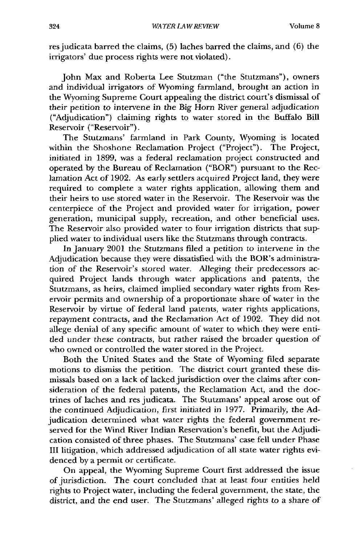res judicata barred the claims, (5) laches barred the claims, and (6) the irrigators' due process rights were not violated).

John Max and Roberta Lee Stutzman ("the Stutzmans"), owners and individual irrigators of Wyoming farmland, brought an action in the Wyoming Supreme Court appealing the district court's dismissal of their petition to intervene in the Big Horn River general adjudication ("Adjudication") claiming rights to water stored in the Buffalo Bill Reservoir ("Reservoir").

The Stutzmans' farmland in Park County, Wyoming is located within the Shoshone Reclamation Project ("Project"). The Project, initiated in 1899, was a federal reclamation project constructed and operated by the Bureau of Reclamation ("BOR") pursuant to the Reclamation Act of 1902. As early settlers acquired Project land, they were required to complete a water rights application, allowing them and their heirs to use stored water in the Reservoir. The Reservoir was the centerpiece of the Project and provided water for irrigation, power generation, municipal supply, recreation, and other beneficial uses. The Reservoir also provided water to four irrigation districts that supplied water to individual users like the Stutzmans through contracts.

In January 2001 the Stutzmans filed a petition to intervene in the Adjudication because they were dissatisfied with the BOR's administration of the Reservoir's stored water. Alleging their predecessors acquired Project lands through water applications and patents, the Stutzmans, as heirs, claimed implied secondary water rights from Reservoir permits and ownership of a proportionate share of water in the Reservoir by virtue of federal land patents, water rights applications, repayment contracts, and the Reclamation Act of 1902. They did not allege denial of any specific amount of water to which they were entitled under these contracts, but rather raised the broader question of who owned or controlled the water stored in the Project.

Both the United States and the State of Wyoming filed separate motions to dismiss the petition. The district court granted these dismissals based on a lack of lacked jurisdiction over the claims after consideration of the federal patents, the Reclamation Act, and the doctrines of laches and res judicata. The Stutzmans' appeal arose out of the continued Adjudication, first initiated in 1977. Primarily, the Adjudication determined what water rights the federal government reserved for the Wind River Indian Reservation's benefit, but the Adjudication consisted of three phases. The Stutzmans' case fell under Phase III litigation, which addressed adjudication of all state water rights evidenced by a permit or certificate.

On appeal, the Wyoming Supreme Court first addressed the issue of jurisdiction. The court concluded that at least four entities held rights to Project water, including the federal government, the state, the district, and the end user. The Stutzmans' alleged rights to a share of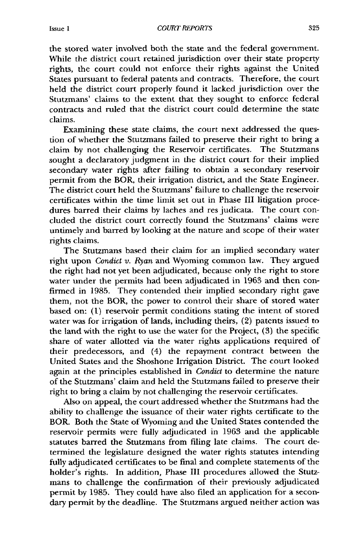the stored water involved both the state and the federal government. While the district court retained jurisdiction over their state property rights, the court could not enforce their rights against the United States pursuant to federal patents and contracts. Therefore, the court held the district court properly found it lacked jurisdiction over the Stutzmans' claims to the extent that they sought to enforce federal contracts and ruled that the district court could determine the state claims.

Examining these state claims, the court next addressed the question of whether the Stutzmans failed to preserve their right to bring a claim by not challenging the Reservoir certificates. The Stutzmans sought a declaratory judgment in the district court for their implied secondary water rights after failing to obtain a secondary reservoir permit from the BOR, their irrigation district, and the State Engineer. The district court held the Stutzmans' failure to challenge the reservoir certificates within the time limit set out in Phase III litigation procedures barred their claims by laches and res judicata. The court concluded the district court correctly found the Stutzmans' claims were untimely and barred by looking at the nature and scope of their water rights claims.

The Stutzmans based their claim for an implied secondary water right upon *Condict v. Ryan* and Wyoming common law. They argued the right had not yet been adjudicated, because only the right to store water under the permits had been adjudicated in 1963 and then confirmed in 1985. They contended their implied secondary right gave them, not the BOR, the power to control their share of stored water based on: (1) reservoir permit conditions stating the intent of stored water was for irrigation of lands, including theirs, (2) patents issued to the land with the right to use the water for the Project, (3) the specific share of water allotted via the water rights applications required of their predecessors, and (4) the repayment contract between the United States and the Shoshone Irrigation District. The court looked again at the principles established in *Condict* to determine the nature of the Stutzmans' claim and held the Stutzmans failed to preserve their right to bring a claim by not challenging the reservoir certificates.

Also on appeal, the court addressed whether the Stutzmans had the ability to challenge the issuance of their water rights certificate to the BOR. Both the State of Wyoming and the United States contended the reservoir permits were fully adjudicated in 1963 and the applicable statutes barred the Stutzmans from filing late claims. The court determined the legislature designed the water rights statutes intending fully adjudicated certificates to be final and complete statements of the holder's rights. In addition, Phase III procedures allowed the Stutzmans to challenge the confirmation of their previously adjudicated permit by 1985. They could have also filed an application for a secondary permit by the deadline. The Stutzmans argued neither action was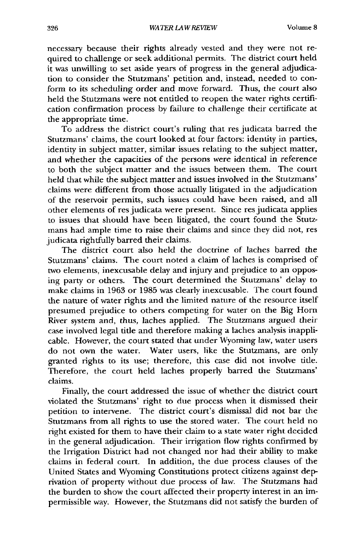necessary because their rights already vested and they were not required to challenge or seek additional permits. The district court held it was unwilling to set aside years of progress in the general adjudication to consider the Stutzmans' petition and, instead, needed to conform to its scheduling order and move forward. Thus, the court also held the Stutzmans were not entitled to reopen the water rights certification confirmation process by failure to challenge their certificate at the appropriate time.

To address the district court's ruling that res judicata barred the Stutzmans' claims, the court looked at four factors: identity in parties, identity in subject matter, similar issues relating to the subject matter, and whether the capacities of the persons were identical in reference to both the subject matter and the issues between them. The court held that while the subject matter and issues involved in the Stutzmans' claims were different from those actually litigated in the adjudication of the reservoir permits, such issues could have been raised, and all other elements of res judicata were present. Since res judicata applies to issues that should have been litigated, the court found the Stutzmans had ample time to raise their claims and since they did not, res judicata rightfully barred their claims.

The district court also held the doctrine of laches barred the Stutzmans' claims. The court noted a claim of laches is comprised of two elements, inexcusable delay and injury and prejudice to an opposing party or others. The court determined the Stutzmans' delay to make claims in 1963 or 1985 was clearly inexcusable. The court found the nature of water rights and the limited nature of the resource itself presumed prejudice to others competing for water on the Big Horn River system and, thus, laches applied. The Stutzmans argued their case involved legal title and therefore making a laches analysis inapplicable. However, the court stated that under Wyoming law, water users do not own the water. Water users, like the Stutzmans, are only granted rights to its use; therefore, this case did not involve title. Therefore, the court held laches properly barred the Stutzmans' claims.

Finally, the court addressed the issue of whether the district court violated the Stutzmans' right to due process when it dismissed their petition to intervene. The district court's dismissal did not bar the Stutzmans from all rights to use the stored water. The court held no right existed for them to have their claim to a state water right decided in the general adjudication. Their irrigation flow rights confirmed by the Irrigation District had not changed nor had their ability to make claims in federal court. In addition, the due process clauses of the United States and Wyoming Constitutions protect citizens against deprivation of property without due process of law. The Stutzmans had the burden to show the court affected their property interest in an impermissible way. However, the Stutzmans did not satisfy the burden of